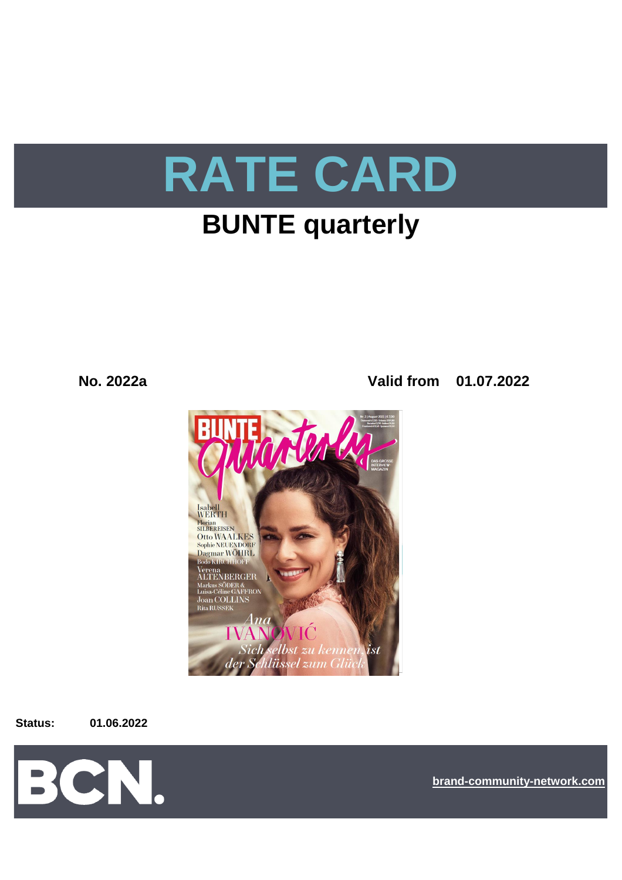

# **BUNTE quarterly**

## **No. 2022a Valid from 01.07.2022**



**Status: 01.06.2022**



**[bra](https://bcn.burda.com/)nd-community-network.com**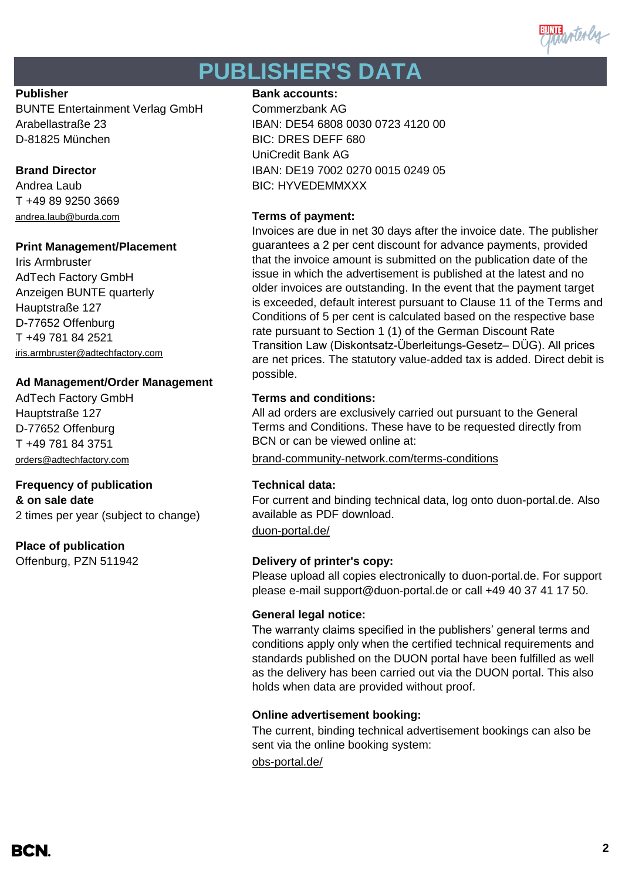

# **PUBLISHER'S DATA**

BUNTE Entertainment Verlag GmbH Commerzbank AG D-81825 München BIC: DRES DEFF 680

T +49 89 9250 3669 [andrea.laub@burda.com](mailto:heike.lauber@burda.com) **Terms of payment:**

## **Print Management/Placement**

Iris Armbruster AdTech Factory GmbH Anzeigen BUNTE quarterly Hauptstraße 127 D-77652 Offenburg T +49 781 84 2521 [iris.armbruster@adtechfactory.com](mailto:iris.armbruster@adtechfactory.com)

## **Ad Management/Order Management**

Hauptstraße 127 D-77652 Offenburg T +49 781 84 3751

## **Frequency of publication Technical data:**

**& on sale date** 2 times per year (subject to change)

## **Place of publication**

### **Publisher Bank accounts: Bank accounts:**

Arabellastraße 23 IBAN: DE54 6808 0030 0723 4120 00 UniCredit Bank AG **Brand Director IBAN: DE19 7002 0270 0015 0249 05** Andrea Laub BIC: HYVEDEMMXXX

Invoices are due in net 30 days after the invoice date. The publisher guarantees a 2 per cent discount for advance payments, provided that the invoice amount is submitted on the publication date of the issue in which the advertisement is published at the latest and no older invoices are outstanding. In the event that the payment target is exceeded, default interest pursuant to Clause 11 of the Terms and Conditions of 5 per cent is calculated based on the respective base rate pursuant to Section 1 (1) of the German Discount Rate Transition Law (Diskontsatz-Überleitungs-Gesetz– DÜG). All prices are net prices. The statutory value-added tax is added. Direct debit is possible.

## AdTech Factory GmbH **Terms and conditions:**

All ad orders are exclusively carried out pursuant to the General Terms and Conditions. These have to be requested directly from BCN or can be viewed online at:

[orders@adtechfactory.com](mailto:orders@adtechfactory.com) [brand-community-network.com/terms-conditions](https://bcn.burda.com/terms-conditions)

For current and binding technical data, log onto duon-portal.de. Also available as PDF download.

[duon-portal.de/](https://duon-portal.de/)

### Offenburg, PZN 511942 **Delivery of printer's copy:**

Please upload all copies electronically to duon-portal.de. For support please e-mail support@duon-portal.de or call +49 40 37 41 17 50.

### **General legal notice:**

The warranty claims specified in the publishers' general terms and conditions apply only when the certified technical requirements and standards published on the DUON portal have been fulfilled as well as the delivery has been carried out via the DUON portal. This also holds when data are provided without proof.

### **Online advertisement booking:**

The current, binding technical advertisement bookings can also be sent via the online booking system:

[obs-portal.de/](https://www.obs-portal.de/)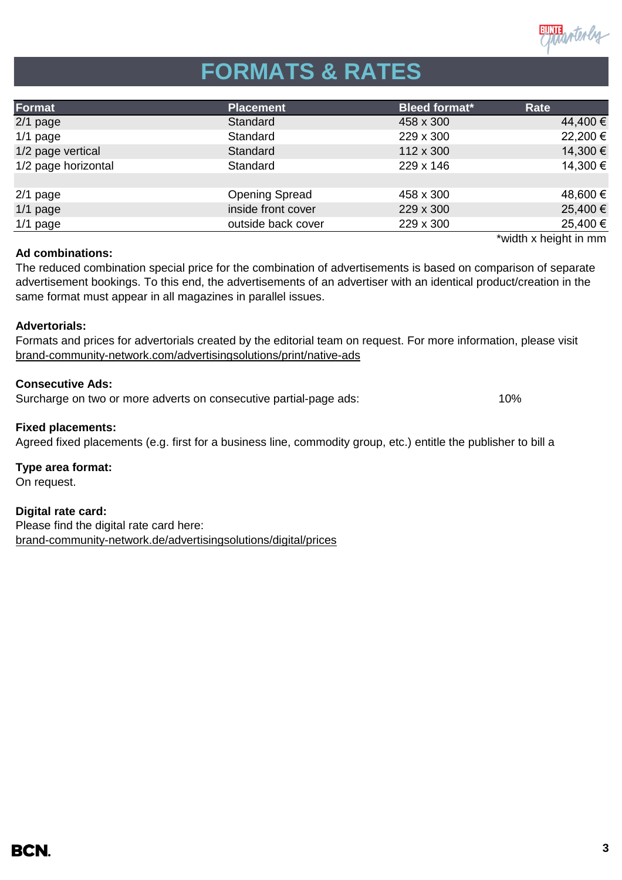

# **FORMATS & RATES**

| Format              | <b>Placement</b>      | <b>Bleed format*</b> | Rate                  |
|---------------------|-----------------------|----------------------|-----------------------|
| $2/1$ page          | Standard              | 458 x 300            | 44,400 €              |
| $1/1$ page          | Standard              | 229 x 300            | 22,200 €              |
| 1/2 page vertical   | Standard              | 112 x 300            | 14,300 €              |
| 1/2 page horizontal | Standard              | 229 x 146            | 14,300 €              |
|                     |                       |                      |                       |
| $2/1$ page          | <b>Opening Spread</b> | 458 x 300            | 48,600 €              |
| $1/1$ page          | inside front cover    | 229 x 300            | 25,400 €              |
| $1/1$ page          | outside back cover    | 229 x 300            | 25,400 €              |
|                     |                       |                      | *width x height in mm |

### **Ad combinations:**

The reduced combination special price for the combination of advertisements is based on comparison of separate advertisement bookings. To this end, the advertisements of an advertiser with an identical product/creation in the same format must appear in all magazines in parallel issues.

### **Advertorials:**

[brand-community-network.com/advertisin](https://bcn.burda.com/advertisingsolutions/print/native-ads)gsolutions/print/native-ads Formats and prices for advertorials created by the editorial team on request. For more information, please visit

#### **Consecutive Ads:**

Surcharge on two or more adverts on consecutive partial-page ads: 10%

#### **Fixed placements:**

Agreed fixed placements (e.g. first for a business line, commodity group, etc.) entitle the publisher to bill a

**Type area format:**

On request.

## **Digital rate card:**

Please find the digital rate card here: [brand-community-network.de/advertisingsolutions/digital/prices](https://bcn.burda.com/advertisingsolutions/digital/prices)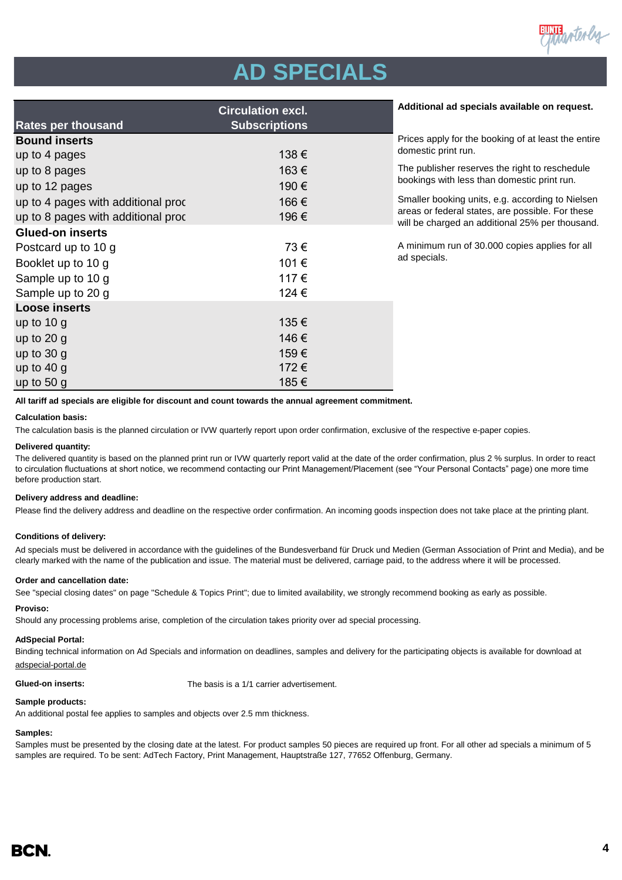

# **AD SPECIALS**

| <b>Circulation excl.</b>           |                      | Additional ad specials available on request.                                                        |  |
|------------------------------------|----------------------|-----------------------------------------------------------------------------------------------------|--|
| <b>Rates per thousand</b>          | <b>Subscriptions</b> |                                                                                                     |  |
| <b>Bound inserts</b>               |                      | Prices apply for the booking of at least the entire                                                 |  |
| up to 4 pages                      | 138€                 | domestic print run.                                                                                 |  |
| up to 8 pages                      | 163€                 | The publisher reserves the right to reschedule                                                      |  |
| up to 12 pages                     | 190€                 | bookings with less than domestic print run.                                                         |  |
| up to 4 pages with additional proc | 166€                 | Smaller booking units, e.g. according to Nielsen                                                    |  |
| up to 8 pages with additional proc | 196€                 | areas or federal states, are possible. For these<br>will be charged an additional 25% per thousand. |  |
| <b>Glued-on inserts</b>            |                      |                                                                                                     |  |
| Postcard up to 10 g                | 73€                  | A minimum run of 30.000 copies applies for all                                                      |  |
| Booklet up to 10 g                 | 101€                 | ad specials.                                                                                        |  |
| Sample up to 10 g                  | 117€                 |                                                                                                     |  |
| Sample up to 20 g                  | 124 €                |                                                                                                     |  |
| <b>Loose inserts</b>               |                      |                                                                                                     |  |
| up to $10 g$                       | 135€                 |                                                                                                     |  |
| up to $20 g$                       | 146€                 |                                                                                                     |  |
| up to $30 g$                       | 159€                 |                                                                                                     |  |
| up to $40 g$                       | 172€                 |                                                                                                     |  |
| up to $50g$                        | 185€                 |                                                                                                     |  |

**All tariff ad specials are eligible for discount and count towards the annual agreement commitment.**

#### **Calculation basis:**

The calculation basis is the planned circulation or IVW quarterly report upon order confirmation, exclusive of the respective e-paper copies.

#### **Delivered quantity:**

The delivered quantity is based on the planned print run or IVW quarterly report valid at the date of the order confirmation, plus 2 % surplus. In order to react to circulation fluctuations at short notice, we recommend contacting our Print Management/Placement (see "Your Personal Contacts" page) one more time before production start.

#### **Delivery address and deadline:**

Please find the delivery address and deadline on the respective order confirmation. An incoming goods inspection does not take place at the printing plant.

#### **Conditions of delivery:**

Ad specials must be delivered in accordance with the guidelines of the Bundesverband für Druck und Medien (German Association of Print and Media), and be clearly marked with the name of the publication and issue. The material must be delivered, carriage paid, to the address where it will be processed.

#### **Order and cancellation date:**

See "special closing dates" on page "Schedule & Topics Print"; due to limited availability, we strongly recommend booking as early as possible.

#### **Proviso:**

Should any processing problems arise, completion of the circulation takes priority over ad special processing.

#### **AdSpecial Portal:**

Binding technical information on Ad Specials and information on deadlines, samples and delivery for the participating objects is available for download at adspecial-portal.de

**Glued-on inserts:** The basis is a 1/1 carrier advertisement.

#### **Sample products:**

An additional postal fee applies to samples and objects over 2.5 mm thickness.

#### **Samples:**

Samples must be presented by the closing date at the latest. For product samples 50 pieces are required up front. For all other ad specials a minimum of 5 samples are required. To be sent: AdTech Factory, Print Management, Hauptstraße 127, 77652 Offenburg, Germany.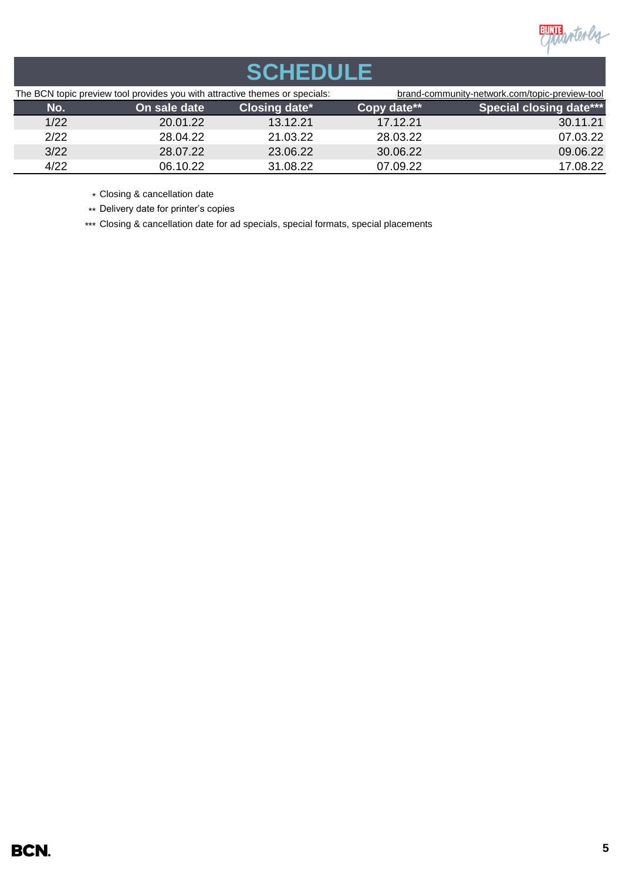

| <b>SCHEDULE</b>                                                             |              |               |                                                |                                |  |  |
|-----------------------------------------------------------------------------|--------------|---------------|------------------------------------------------|--------------------------------|--|--|
| The BCN topic preview tool provides you with attractive themes or specials: |              |               | brand-community-network.com/topic-preview-tool |                                |  |  |
| No.                                                                         | On sale date | Closing date* | Copy date**                                    | <b>Special closing date***</b> |  |  |
| 1/22                                                                        | 20.01.22     | 13.12.21      | 17.12.21                                       | 30.11.21                       |  |  |
| 2/22                                                                        | 28.04.22     | 21.03.22      | 28.03.22                                       | 07.03.22                       |  |  |
| 3/22                                                                        | 28.07.22     | 23.06.22      | 30.06.22                                       | 09.06.22                       |  |  |
| 4/22                                                                        | 06.10.22     | 31.08.22      | 07.09.22                                       | 17.08.22                       |  |  |

\* Closing & cancellation date

\*\* Delivery date for printer's copies

\*\*\* Closing & cancellation date for ad specials, special formats, special placements